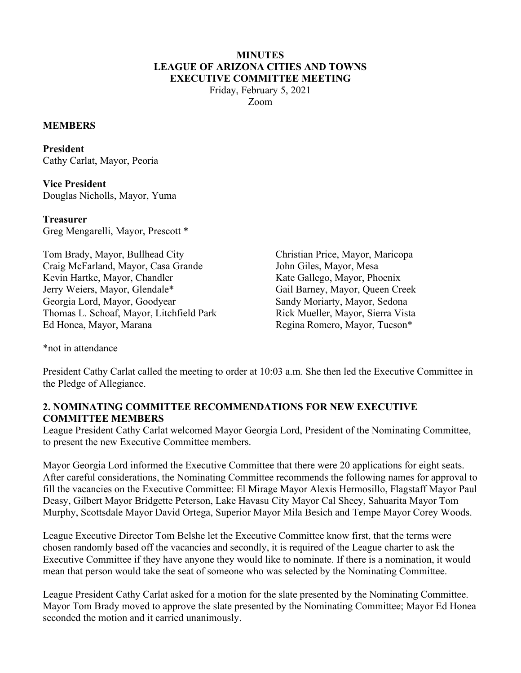### **MINUTES LEAGUE OF ARIZONA CITIES AND TOWNS EXECUTIVE COMMITTEE MEETING**

Friday, February 5, 2021 Zoom

#### **MEMBERS**

**President**  Cathy Carlat, Mayor, Peoria

**Vice President**  Douglas Nicholls, Mayor, Yuma

**Treasurer**  Greg Mengarelli, Mayor, Prescott \*

Tom Brady, Mayor, Bullhead City Craig McFarland, Mayor, Casa Grande Kevin Hartke, Mayor, Chandler Jerry Weiers, Mayor, Glendale\* Georgia Lord, Mayor, Goodyear Thomas L. Schoaf, Mayor, Litchfield Park Ed Honea, Mayor, Marana

Christian Price, Mayor, Maricopa John Giles, Mayor, Mesa Kate Gallego, Mayor, Phoenix Gail Barney, Mayor, Queen Creek Sandy Moriarty, Mayor, Sedona Rick Mueller, Mayor, Sierra Vista Regina Romero, Mayor, Tucson\*

\*not in attendance

President Cathy Carlat called the meeting to order at 10:03 a.m. She then led the Executive Committee in the Pledge of Allegiance.

## **2. NOMINATING COMMITTEE RECOMMENDATIONS FOR NEW EXECUTIVE COMMITTEE MEMBERS**

League President Cathy Carlat welcomed Mayor Georgia Lord, President of the Nominating Committee, to present the new Executive Committee members.

Mayor Georgia Lord informed the Executive Committee that there were 20 applications for eight seats. After careful considerations, the Nominating Committee recommends the following names for approval to fill the vacancies on the Executive Committee: El Mirage Mayor Alexis Hermosillo, Flagstaff Mayor Paul Deasy, Gilbert Mayor Bridgette Peterson, Lake Havasu City Mayor Cal Sheey, Sahuarita Mayor Tom Murphy, Scottsdale Mayor David Ortega, Superior Mayor Mila Besich and Tempe Mayor Corey Woods.

League Executive Director Tom Belshe let the Executive Committee know first, that the terms were chosen randomly based off the vacancies and secondly, it is required of the League charter to ask the Executive Committee if they have anyone they would like to nominate. If there is a nomination, it would mean that person would take the seat of someone who was selected by the Nominating Committee.

League President Cathy Carlat asked for a motion for the slate presented by the Nominating Committee. Mayor Tom Brady moved to approve the slate presented by the Nominating Committee; Mayor Ed Honea seconded the motion and it carried unanimously.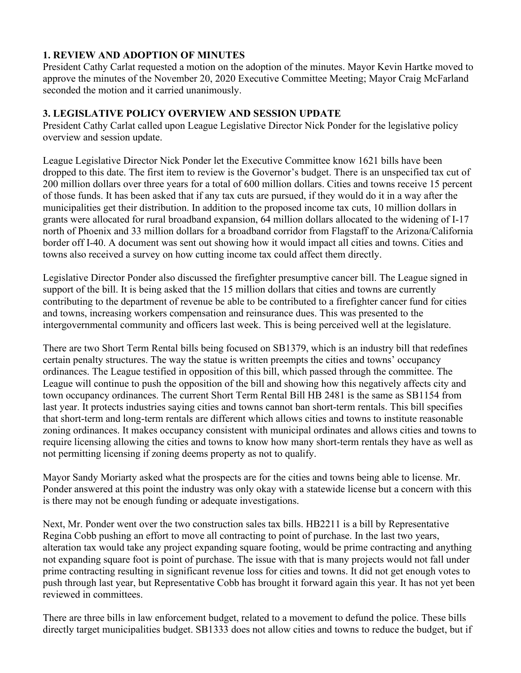## **1. REVIEW AND ADOPTION OF MINUTES**

President Cathy Carlat requested a motion on the adoption of the minutes. Mayor Kevin Hartke moved to approve the minutes of the November 20, 2020 Executive Committee Meeting; Mayor Craig McFarland seconded the motion and it carried unanimously.

# **3. LEGISLATIVE POLICY OVERVIEW AND SESSION UPDATE**

President Cathy Carlat called upon League Legislative Director Nick Ponder for the legislative policy overview and session update.

League Legislative Director Nick Ponder let the Executive Committee know 1621 bills have been dropped to this date. The first item to review is the Governor's budget. There is an unspecified tax cut of 200 million dollars over three years for a total of 600 million dollars. Cities and towns receive 15 percent of those funds. It has been asked that if any tax cuts are pursued, if they would do it in a way after the municipalities get their distribution. In addition to the proposed income tax cuts, 10 million dollars in grants were allocated for rural broadband expansion, 64 million dollars allocated to the widening of I-17 north of Phoenix and 33 million dollars for a broadband corridor from Flagstaff to the Arizona/California border off I-40. A document was sent out showing how it would impact all cities and towns. Cities and towns also received a survey on how cutting income tax could affect them directly.

Legislative Director Ponder also discussed the firefighter presumptive cancer bill. The League signed in support of the bill. It is being asked that the 15 million dollars that cities and towns are currently contributing to the department of revenue be able to be contributed to a firefighter cancer fund for cities and towns, increasing workers compensation and reinsurance dues. This was presented to the intergovernmental community and officers last week. This is being perceived well at the legislature.

There are two Short Term Rental bills being focused on SB1379, which is an industry bill that redefines certain penalty structures. The way the statue is written preempts the cities and towns' occupancy ordinances. The League testified in opposition of this bill, which passed through the committee. The League will continue to push the opposition of the bill and showing how this negatively affects city and town occupancy ordinances. The current Short Term Rental Bill HB 2481 is the same as SB1154 from last year. It protects industries saying cities and towns cannot ban short-term rentals. This bill specifies that short-term and long-term rentals are different which allows cities and towns to institute reasonable zoning ordinances. It makes occupancy consistent with municipal ordinates and allows cities and towns to require licensing allowing the cities and towns to know how many short-term rentals they have as well as not permitting licensing if zoning deems property as not to qualify.

Mayor Sandy Moriarty asked what the prospects are for the cities and towns being able to license. Mr. Ponder answered at this point the industry was only okay with a statewide license but a concern with this is there may not be enough funding or adequate investigations.

Next, Mr. Ponder went over the two construction sales tax bills. HB2211 is a bill by Representative Regina Cobb pushing an effort to move all contracting to point of purchase. In the last two years, alteration tax would take any project expanding square footing, would be prime contracting and anything not expanding square foot is point of purchase. The issue with that is many projects would not fall under prime contracting resulting in significant revenue loss for cities and towns. It did not get enough votes to push through last year, but Representative Cobb has brought it forward again this year. It has not yet been reviewed in committees.

There are three bills in law enforcement budget, related to a movement to defund the police. These bills directly target municipalities budget. SB1333 does not allow cities and towns to reduce the budget, but if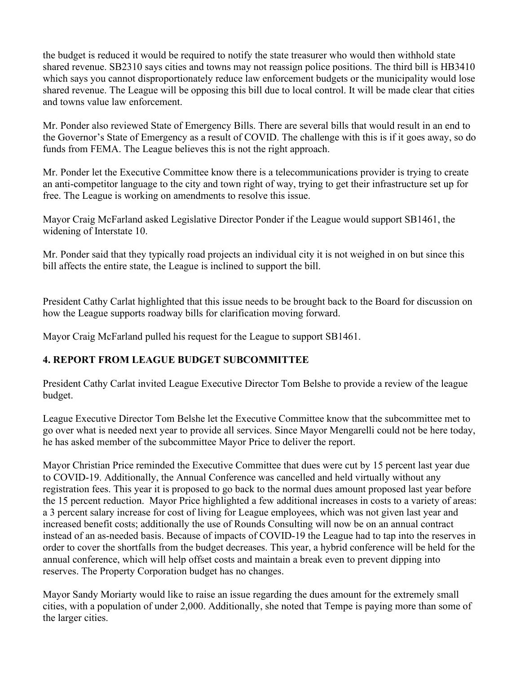the budget is reduced it would be required to notify the state treasurer who would then withhold state shared revenue. SB2310 says cities and towns may not reassign police positions. The third bill is HB3410 which says you cannot disproportionately reduce law enforcement budgets or the municipality would lose shared revenue. The League will be opposing this bill due to local control. It will be made clear that cities and towns value law enforcement.

Mr. Ponder also reviewed State of Emergency Bills. There are several bills that would result in an end to the Governor's State of Emergency as a result of COVID. The challenge with this is if it goes away, so do funds from FEMA. The League believes this is not the right approach.

Mr. Ponder let the Executive Committee know there is a telecommunications provider is trying to create an anti-competitor language to the city and town right of way, trying to get their infrastructure set up for free. The League is working on amendments to resolve this issue.

Mayor Craig McFarland asked Legislative Director Ponder if the League would support SB1461, the widening of Interstate 10.

Mr. Ponder said that they typically road projects an individual city it is not weighed in on but since this bill affects the entire state, the League is inclined to support the bill.

President Cathy Carlat highlighted that this issue needs to be brought back to the Board for discussion on how the League supports roadway bills for clarification moving forward.

Mayor Craig McFarland pulled his request for the League to support SB1461.

# **4. REPORT FROM LEAGUE BUDGET SUBCOMMITTEE**

President Cathy Carlat invited League Executive Director Tom Belshe to provide a review of the league budget.

League Executive Director Tom Belshe let the Executive Committee know that the subcommittee met to go over what is needed next year to provide all services. Since Mayor Mengarelli could not be here today, he has asked member of the subcommittee Mayor Price to deliver the report.

Mayor Christian Price reminded the Executive Committee that dues were cut by 15 percent last year due to COVID-19. Additionally, the Annual Conference was cancelled and held virtually without any registration fees. This year it is proposed to go back to the normal dues amount proposed last year before the 15 percent reduction. Mayor Price highlighted a few additional increases in costs to a variety of areas: a 3 percent salary increase for cost of living for League employees, which was not given last year and increased benefit costs; additionally the use of Rounds Consulting will now be on an annual contract instead of an as-needed basis. Because of impacts of COVID-19 the League had to tap into the reserves in order to cover the shortfalls from the budget decreases. This year, a hybrid conference will be held for the annual conference, which will help offset costs and maintain a break even to prevent dipping into reserves. The Property Corporation budget has no changes.

Mayor Sandy Moriarty would like to raise an issue regarding the dues amount for the extremely small cities, with a population of under 2,000. Additionally, she noted that Tempe is paying more than some of the larger cities.